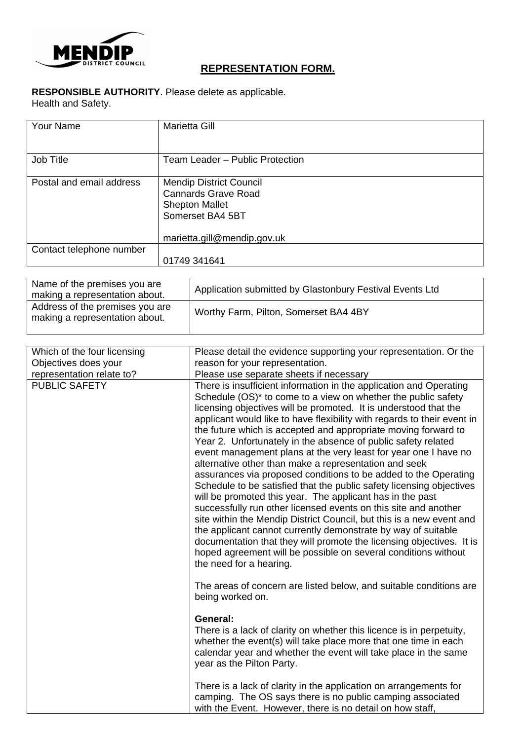

# **REPRESENTATION FORM.**

# **RESPONSIBLE AUTHORITY**. Please delete as applicable.

Health and Safety.

| <b>Your Name</b>         | <b>Marietta Gill</b>            |
|--------------------------|---------------------------------|
|                          |                                 |
| Job Title                | Team Leader - Public Protection |
|                          |                                 |
| Postal and email address | <b>Mendip District Council</b>  |
|                          | <b>Cannards Grave Road</b>      |
|                          |                                 |
|                          | <b>Shepton Mallet</b>           |
|                          | Somerset BA4 5BT                |
|                          |                                 |
|                          | marietta.gill@mendip.gov.uk     |
| Contact telephone number |                                 |
|                          | 01749 341641                    |

| Name of the premises you are<br>making a representation about.    | Application submitted by Glastonbury Festival Events Ltd |
|-------------------------------------------------------------------|----------------------------------------------------------|
| Address of the premises you are<br>making a representation about. | Worthy Farm, Pilton, Somerset BA4 4BY                    |

| Which of the four licensing | Please detail the evidence supporting your representation. Or the                                                                                                                                                                                                                                                                                                                                                                                                                                                                                                                                                                                                                                                                                                                                                                                                                                                                                                                                                                                                                                                                                      |
|-----------------------------|--------------------------------------------------------------------------------------------------------------------------------------------------------------------------------------------------------------------------------------------------------------------------------------------------------------------------------------------------------------------------------------------------------------------------------------------------------------------------------------------------------------------------------------------------------------------------------------------------------------------------------------------------------------------------------------------------------------------------------------------------------------------------------------------------------------------------------------------------------------------------------------------------------------------------------------------------------------------------------------------------------------------------------------------------------------------------------------------------------------------------------------------------------|
| Objectives does your        | reason for your representation.                                                                                                                                                                                                                                                                                                                                                                                                                                                                                                                                                                                                                                                                                                                                                                                                                                                                                                                                                                                                                                                                                                                        |
| representation relate to?   | Please use separate sheets if necessary                                                                                                                                                                                                                                                                                                                                                                                                                                                                                                                                                                                                                                                                                                                                                                                                                                                                                                                                                                                                                                                                                                                |
| <b>PUBLIC SAFETY</b>        | There is insufficient information in the application and Operating<br>Schedule (OS) <sup>*</sup> to come to a view on whether the public safety<br>licensing objectives will be promoted. It is understood that the<br>applicant would like to have flexibility with regards to their event in<br>the future which is accepted and appropriate moving forward to<br>Year 2. Unfortunately in the absence of public safety related<br>event management plans at the very least for year one I have no<br>alternative other than make a representation and seek<br>assurances via proposed conditions to be added to the Operating<br>Schedule to be satisfied that the public safety licensing objectives<br>will be promoted this year. The applicant has in the past<br>successfully run other licensed events on this site and another<br>site within the Mendip District Council, but this is a new event and<br>the applicant cannot currently demonstrate by way of suitable<br>documentation that they will promote the licensing objectives. It is<br>hoped agreement will be possible on several conditions without<br>the need for a hearing. |
|                             | The areas of concern are listed below, and suitable conditions are<br>being worked on.                                                                                                                                                                                                                                                                                                                                                                                                                                                                                                                                                                                                                                                                                                                                                                                                                                                                                                                                                                                                                                                                 |
|                             | General:<br>There is a lack of clarity on whether this licence is in perpetuity,<br>whether the event(s) will take place more that one time in each<br>calendar year and whether the event will take place in the same<br>year as the Pilton Party.                                                                                                                                                                                                                                                                                                                                                                                                                                                                                                                                                                                                                                                                                                                                                                                                                                                                                                    |
|                             | There is a lack of clarity in the application on arrangements for<br>camping. The OS says there is no public camping associated<br>with the Event. However, there is no detail on how staff,                                                                                                                                                                                                                                                                                                                                                                                                                                                                                                                                                                                                                                                                                                                                                                                                                                                                                                                                                           |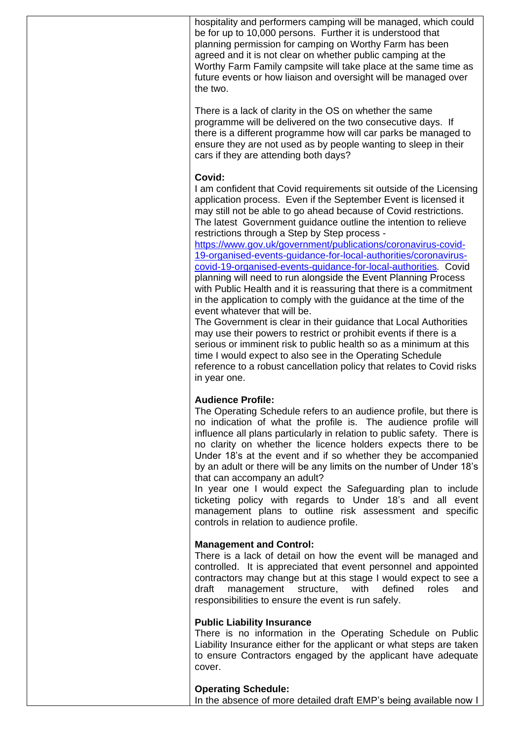hospitality and performers camping will be managed, which could be for up to 10,000 persons. Further it is understood that planning permission for camping on Worthy Farm has been agreed and it is not clear on whether public camping at the Worthy Farm Family campsite will take place at the same time as future events or how liaison and oversight will be managed over the two.

There is a lack of clarity in the OS on whether the same programme will be delivered on the two consecutive days. If there is a different programme how will car parks be managed to ensure they are not used as by people wanting to sleep in their cars if they are attending both days?

### **Covid:**

I am confident that Covid requirements sit outside of the Licensing application process. Even if the September Event is licensed it may still not be able to go ahead because of Covid restrictions. The latest Government guidance outline the intention to relieve restrictions through a Step by Step process -

[https://www.gov.uk/government/publications/coronavirus-covid-](https://www.gov.uk/government/publications/coronavirus-covid-19-organised-events-guidance-for-local-authorities/coronavirus-covid-19-organised-events-guidance-for-local-authorities)[19-organised-events-guidance-for-local-authorities/coronavirus](https://www.gov.uk/government/publications/coronavirus-covid-19-organised-events-guidance-for-local-authorities/coronavirus-covid-19-organised-events-guidance-for-local-authorities)[covid-19-organised-events-guidance-for-local-authorities](https://www.gov.uk/government/publications/coronavirus-covid-19-organised-events-guidance-for-local-authorities/coronavirus-covid-19-organised-events-guidance-for-local-authorities)*.* Covid planning will need to run alongside the Event Planning Process with Public Health and it is reassuring that there is a commitment in the application to comply with the guidance at the time of the event whatever that will be.

The Government is clear in their guidance that Local Authorities may use their powers to restrict or prohibit events if there is a serious or imminent risk to public health so as a minimum at this time I would expect to also see in the Operating Schedule reference to a robust cancellation policy that relates to Covid risks in year one.

# **Audience Profile:**

The Operating Schedule refers to an audience profile, but there is no indication of what the profile is. The audience profile will influence all plans particularly in relation to public safety. There is no clarity on whether the licence holders expects there to be Under 18's at the event and if so whether they be accompanied by an adult or there will be any limits on the number of Under 18's that can accompany an adult?

In year one I would expect the Safeguarding plan to include ticketing policy with regards to Under 18's and all event management plans to outline risk assessment and specific controls in relation to audience profile.

# **Management and Control:**

There is a lack of detail on how the event will be managed and controlled. It is appreciated that event personnel and appointed contractors may change but at this stage I would expect to see a draft management structure, with defined roles and responsibilities to ensure the event is run safely.

#### **Public Liability Insurance**

There is no information in the Operating Schedule on Public Liability Insurance either for the applicant or what steps are taken to ensure Contractors engaged by the applicant have adequate cover.

#### **Operating Schedule:**

In the absence of more detailed draft EMP's being available now I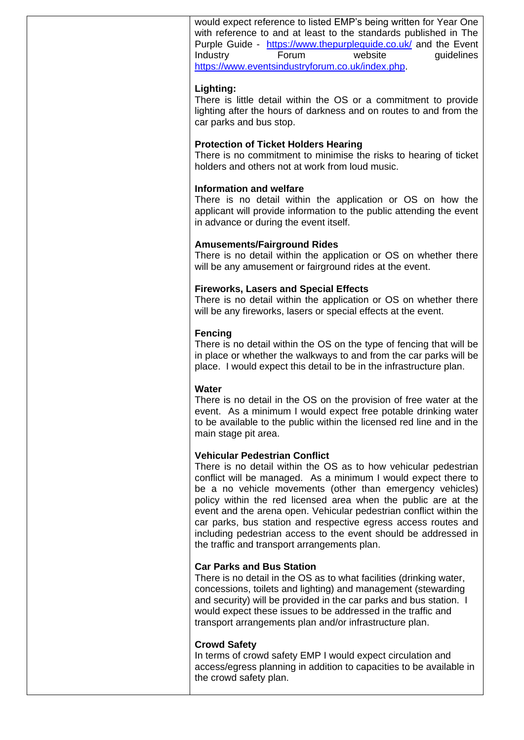would expect reference to listed EMP's being written for Year One with reference to and at least to the standards published in The Purple Guide - <https://www.thepurpleguide.co.uk/> and the Event Industry Forum website quidelines [https://www.eventsindustryforum.co.uk/index.php.](https://www.eventsindustryforum.co.uk/index.php)

### **Lighting:**

There is little detail within the OS or a commitment to provide lighting after the hours of darkness and on routes to and from the car parks and bus stop.

### **Protection of Ticket Holders Hearing**

There is no commitment to minimise the risks to hearing of ticket holders and others not at work from loud music.

### **Information and welfare**

There is no detail within the application or OS on how the applicant will provide information to the public attending the event in advance or during the event itself.

### **Amusements/Fairground Rides**

There is no detail within the application or OS on whether there will be any amusement or fairground rides at the event.

### **Fireworks, Lasers and Special Effects**

There is no detail within the application or OS on whether there will be any fireworks, lasers or special effects at the event.

# **Fencing**

There is no detail within the OS on the type of fencing that will be in place or whether the walkways to and from the car parks will be place. I would expect this detail to be in the infrastructure plan.

# **Water**

There is no detail in the OS on the provision of free water at the event. As a minimum I would expect free potable drinking water to be available to the public within the licensed red line and in the main stage pit area.

#### **Vehicular Pedestrian Conflict**

There is no detail within the OS as to how vehicular pedestrian conflict will be managed. As a minimum I would expect there to be a no vehicle movements (other than emergency vehicles) policy within the red licensed area when the public are at the event and the arena open. Vehicular pedestrian conflict within the car parks, bus station and respective egress access routes and including pedestrian access to the event should be addressed in the traffic and transport arrangements plan.

#### **Car Parks and Bus Station**

There is no detail in the OS as to what facilities (drinking water, concessions, toilets and lighting) and management (stewarding and security) will be provided in the car parks and bus station. I would expect these issues to be addressed in the traffic and transport arrangements plan and/or infrastructure plan.

#### **Crowd Safety**

In terms of crowd safety EMP I would expect circulation and access/egress planning in addition to capacities to be available in the crowd safety plan.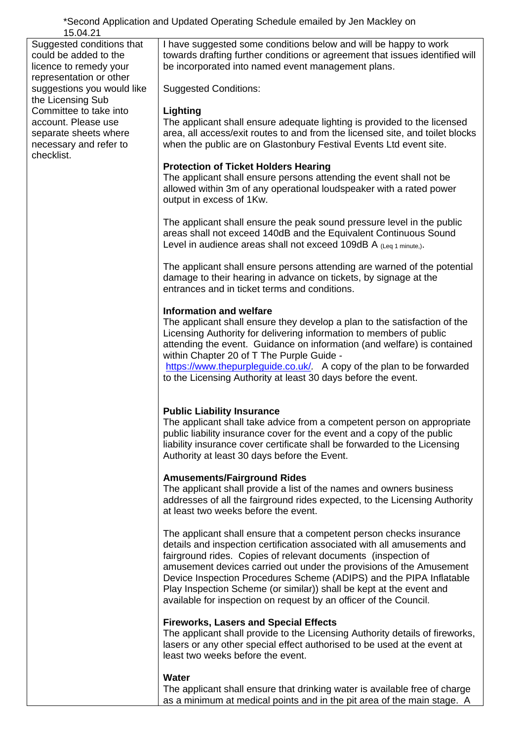\*Second Application and Updated Operating Schedule emailed by Jen Mackley on 15.04.21

Suggested conditions that could be added to the licence to remedy your representation or other suggestions you would like the Licensing Sub Committee to take into account. Please use separate sheets where necessary and refer to checklist.

I have suggested some conditions below and will be happy to work towards drafting further conditions or agreement that issues identified will be incorporated into named event management plans.

Suggested Conditions:

## **Lighting**

The applicant shall ensure adequate lighting is provided to the licensed area, all access/exit routes to and from the licensed site, and toilet blocks when the public are on Glastonbury Festival Events Ltd event site.

# **Protection of Ticket Holders Hearing**

The applicant shall ensure persons attending the event shall not be allowed within 3m of any operational loudspeaker with a rated power output in excess of 1Kw.

The applicant shall ensure the peak sound pressure level in the public areas shall not exceed 140dB and the Equivalent Continuous Sound Level in audience areas shall not exceed 109dB A  $_{(Leaf 1 minute)}$ .

The applicant shall ensure persons attending are warned of the potential damage to their hearing in advance on tickets, by signage at the entrances and in ticket terms and conditions.

# **Information and welfare**

The applicant shall ensure they develop a plan to the satisfaction of the Licensing Authority for delivering information to members of public attending the event. Guidance on information (and welfare) is contained within Chapter 20 of T The Purple Guide -

<https://www.thepurpleguide.co.uk/>*.* A copy of the plan to be forwarded to the Licensing Authority at least 30 days before the event.

# **Public Liability Insurance**

The applicant shall take advice from a competent person on appropriate public liability insurance cover for the event and a copy of the public liability insurance cover certificate shall be forwarded to the Licensing Authority at least 30 days before the Event.

# **Amusements/Fairground Rides**

The applicant shall provide a list of the names and owners business addresses of all the fairground rides expected, to the Licensing Authority at least two weeks before the event.

The applicant shall ensure that a competent person checks insurance details and inspection certification associated with all amusements and fairground rides. Copies of relevant documents (inspection of amusement devices carried out under the provisions of the Amusement Device Inspection Procedures Scheme (ADIPS) and the PIPA Inflatable Play Inspection Scheme (or similar)) shall be kept at the event and available for inspection on request by an officer of the Council.

# **Fireworks, Lasers and Special Effects**

The applicant shall provide to the Licensing Authority details of fireworks, lasers or any other special effect authorised to be used at the event at least two weeks before the event.

# **Water**

The applicant shall ensure that drinking water is available free of charge as a minimum at medical points and in the pit area of the main stage. A